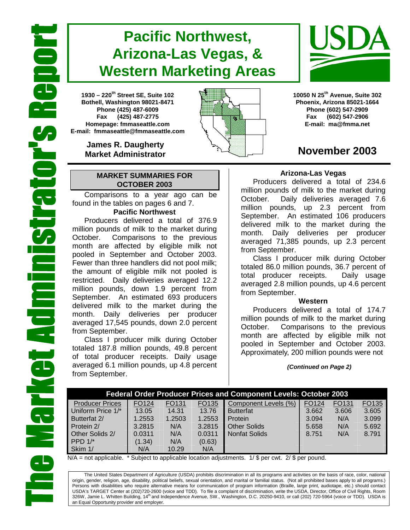# **Pacific Northwest, Arizona-Las Vegas, & Western Marketing Areas**

**1930 – 220th Street SE, Suite 102 Bothell, Washington 98021-8471 Phone (425) 487-6009 Fax (425) 487-2775 Homepage: fmmaseattle.com E-mail: fmmaseattle@fmmaseattle.com**

> **James R. Daugherty Market Administrator**

### **MARKET SUMMARIES FOR OCTOBER 2003**

 Comparisons to a year ago can be found in the tables on pages 6 and 7.

### **Pacific Northwest**

Producers delivered a total of 376.9 million pounds of milk to the market during October. Comparisons to the previous month are affected by eligible milk not pooled in September and October 2003. Fewer than three handlers did not pool milk; the amount of eligible milk not pooled is restricted. Daily deliveries averaged 12.2 million pounds, down 1.9 percent from September. An estimated 693 producers delivered milk to the market during the month. Daily deliveries per producer averaged 17,545 pounds, down 2.0 percent from September.

Class I producer milk during October totaled 187.8 million pounds, 49.8 percent of total producer receipts. Daily usage averaged 6.1 million pounds, up 4.8 percent from September.





**10050 N 25th Avenue, Suite 302 Phoenix, Arizona 85021-1664 Phone (602) 547-2909 Fax (602) 547-2906 E-mail: ma@fmma.net**

## **November 2003**

### **Arizona-Las Vegas**

Producers delivered a total of 234.6 million pounds of milk to the market during October. Daily deliveries averaged 7.6 million pounds, up 2.3 percent from September. An estimated 106 producers delivered milk to the market during the month. Daily deliveries per producer averaged 71,385 pounds, up 2.3 percent from September.

Class I producer milk during October totaled 86.0 million pounds, 36.7 percent of total producer receipts. Daily usage averaged 2.8 million pounds, up 4.6 percent from September.

### **Western**

Producers delivered a total of 174.7 million pounds of milk to the market during October. Comparisons to the previous month are affected by eligible milk not pooled in September and October 2003. Approximately, 200 million pounds were not

*(Continued on Page 2)* 

| <b>Federal Order Producer Prices and Component Levels: October 2003</b> |        |        |        |                      |       |                   |       |  |  |
|-------------------------------------------------------------------------|--------|--------|--------|----------------------|-------|-------------------|-------|--|--|
| <b>Producer Prices</b>                                                  | FO124  | FO131  | FO135  | Component Levels (%) | FO124 | FO <sub>131</sub> | FO135 |  |  |
| Uniform Price 1/*                                                       | 13.05  | 14.31  | 13.76  | <b>Butterfat</b>     | 3.662 | 3.606             | 3.605 |  |  |
| Butterfat 2/                                                            | 1.2553 | 1.2503 | 1.2553 | Protein              | 3.094 | N/A               | 3.099 |  |  |
| Protein 2/                                                              | 3.2815 | N/A    | 3.2815 | <b>Other Solids</b>  | 5.658 | N/A               | 5.692 |  |  |
| Other Solids 2/                                                         | 0.0311 | N/A    | 0.0311 | <b>Nonfat Solids</b> | 8.751 | N/A               | 8.791 |  |  |
| PPD $1/*$                                                               | (1.34) | N/A    | (0.63) |                      |       |                   |       |  |  |
| Skim 1/                                                                 | N/A    | 10.29  | N/A    |                      |       |                   |       |  |  |

 $N/A$  = not applicable. \* Subject to applicable location adjustments. 1/ \$ per cwt. 2/ \$ per pound.

The United States Department of Agriculture (USDA) prohibits discrimination in all its programs and activities on the basis of race, color, national origin, gender, religion, age, disability, political beliefs, sexual orientation, and marital or familial status. (Not all prohibited bases apply to all programs.) Persons with disabilities who require alternative means for communication of program information (Braille, large print, audiotape, etc.) should contact USDA's TARGET Center at (202)720-2600 (voice and TDD). To file a complaint of discrimination, write the USDA, Director, Office of Civil Rights, Room 326W, Jamie L. Whitten Building, 14<sup>th</sup> and Independence Avenue, SW., Washington, D.C. 20250-9410, or call (202) 720-5964 (voice or TDD). USDA is an Equal Opportunity provider and employer.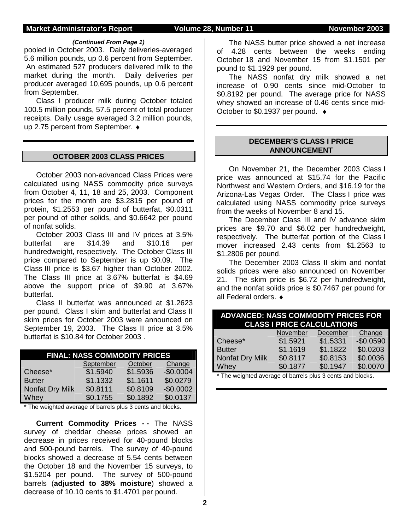#### **Market Administrator's Report Colume 28, Number 11 November 2003**

#### *(Continued From Page 1)*

pooled in October 2003. Daily deliveries-averaged 5.6 million pounds, up 0.6 percent from September. An estimated 527 producers delivered milk to the market during the month. Daily deliveries per producer averaged 10,695 pounds, up 0.6 percent from September.

Class I producer milk during October totaled 100.5 million pounds, 57.5 percent of total producer receipts. Daily usage averaged 3.2 million pounds, up 2.75 percent from September. ♦

#### **OCTOBER 2003 CLASS PRICES**

October 2003 non-advanced Class Prices were calculated using NASS commodity price surveys from October 4, 11, 18 and 25, 2003. Component prices for the month are \$3.2815 per pound of protein, \$1.2553 per pound of butterfat, \$0.0311 per pound of other solids, and \$0.6642 per pound of nonfat solids.

 October 2003 Class III and IV prices at 3.5% butterfat are \$14.39 and \$10.16 per hundredweight, respectively. The October Class III price compared to September is up \$0.09. The Class III price is \$3.67 higher than October 2002. The Class III price at 3.67% butterfat is \$4.69 above the support price of \$9.90 at 3.67% butterfat.

Class II butterfat was announced at \$1.2623 per pound. Class I skim and butterfat and Class II skim prices for October 2003 were announced on September 19, 2003. The Class II price at 3.5% butterfat is \$10.84 for October 2003 .

| <b>FINAL: NASS COMMODITY PRICES</b> |          |          |            |  |  |  |  |  |
|-------------------------------------|----------|----------|------------|--|--|--|--|--|
| September<br>October<br>Change      |          |          |            |  |  |  |  |  |
| Cheese*                             | \$1.5940 | \$1.5936 | $-$0.0004$ |  |  |  |  |  |
| <b>Butter</b>                       | \$1.1332 | \$1.1611 | \$0.0279   |  |  |  |  |  |
| Nonfat Dry Milk                     | \$0.8111 | \$0.8109 | $-$0.0002$ |  |  |  |  |  |
| Whey                                | \$0.1755 | \$0.1892 | \$0.0137   |  |  |  |  |  |

\* The weighted average of barrels plus 3 cents and blocks.

**Current Commodity Prices - -** The NASS survey of cheddar cheese prices showed an decrease in prices received for 40-pound blocks and 500-pound barrels. The survey of 40-pound blocks showed a decrease of 5.54 cents between the October 18 and the November 15 surveys, to \$1.5204 per pound. The survey of 500-pound barrels (**adjusted to 38% moisture**) showed a decrease of 10.10 cents to \$1.4701 per pound.

The NASS butter price showed a net increase of 4.28 cents between the weeks ending October 18 and November 15 from \$1.1501 per pound to \$1.1929 per pound.

The NASS nonfat dry milk showed a net increase of 0.90 cents since mid-October to \$0.8192 per pound. The average price for NASS whey showed an increase of 0.46 cents since mid-October to \$0.1937 per pound. ♦

#### **DECEMBER'S CLASS I PRICE ANNOUNCEMENT**

 On November 21, the December 2003 Class I price was announced at \$15.74 for the Pacific Northwest and Western Orders, and \$16.19 for the Arizona-Las Vegas Order. The Class I price was calculated using NASS commodity price surveys from the weeks of November 8 and 15.

 The December Class III and IV advance skim prices are \$9.70 and \$6.02 per hundredweight, respectively. The butterfat portion of the Class I mover increased 2.43 cents from \$1.2563 to \$1.2806 per pound.

 The December 2003 Class II skim and nonfat solids prices were also announced on November 21. The skim price is \$6.72 per hundredweight, and the nonfat solids price is \$0.7467 per pound for all Federal orders. ♦

| <b>ADVANCED: NASS COMMODITY PRICES FOR</b> | <b>CLASS I PRICE CALCULATIONS</b> |          |            |
|--------------------------------------------|-----------------------------------|----------|------------|
|                                            | November                          | December | Change     |
| Cheese*                                    | \$1.5921                          | \$1.5331 | $-$0.0590$ |
| <b>Butter</b>                              | \$1.1619                          | \$1.1822 | \$0.0203   |
| Nonfat Dry Milk                            | \$0.8117                          | \$0.8153 | \$0.0036   |
| Whey                                       | \$0.1877                          | \$0.1947 | \$0.0070   |

\* The weighted average of barrels plus 3 cents and blocks.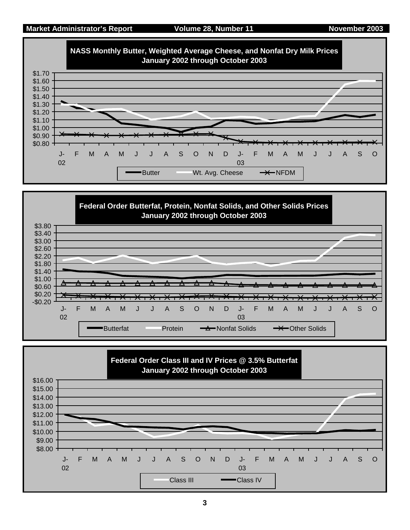



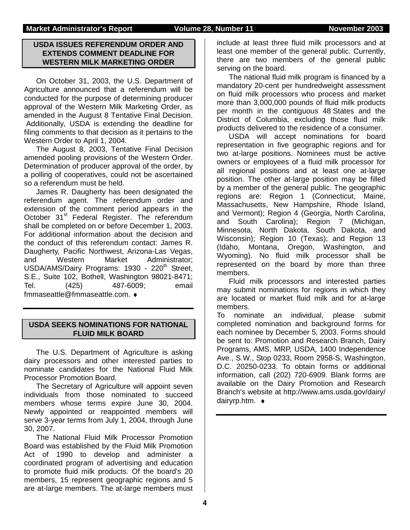#### **USDA ISSUES REFERENDUM ORDER AND EXTENDS COMMENT DEADLINE FOR WESTERN MILK MARKETING ORDER**

On October 31, 2003, the U.S. Department of Agriculture announced that a referendum will be conducted for the purpose of determining producer approval of the Western Milk Marketing Order, as amended in the August 8 Tentative Final Decision. Additionally, USDA is extending the deadline for filing comments to that decision as it pertains to the Western Order to April 1, 2004.

The August 8, 2003, Tentative Final Decision amended pooling provisions of the Western Order. Determination of producer approval of the order, by a polling of cooperatives, could not be ascertained so a referendum must be held.

James R. Daugherty has been designated the referendum agent. The referendum order and extension of the comment period appears in the October 31<sup>st</sup> Federal Register. The referendum shall be completed on or before December 1, 2003. For additional information about the decision and the conduct of this referendum contact: James R. Daugherty, Pacific Northwest, Arizona-Las Vegas, and Western Market Administrator; USDA/AMS/Dairy Programs: 1930 - 220<sup>th</sup> Street, S.E., Suite 102, Bothell, Washington 98021-8471; Tel. (425) 487-6009; email fmmaseattle@fmmaseattle.com. ♦

### **USDA SEEKS NOMINATIONS FOR NATIONAL FLUID MILK BOARD**

The U.S. Department of Agriculture is asking dairy processors and other interested parties to nominate candidates for the National Fluid Milk Processor Promotion Board.

The Secretary of Agriculture will appoint seven individuals from those nominated to succeed members whose terms expire June 30, 2004. Newly appointed or reappointed members will serve 3-year terms from July 1, 2004, through June 30, 2007.

The National Fluid Milk Processor Promotion Board was established by the Fluid Milk Promotion Act of 1990 to develop and administer a coordinated program of advertising and education to promote fluid milk products. Of the board's 20 members, 15 represent geographic regions and 5 are at-large members. The at-large members must

include at least three fluid milk processors and at least one member of the general public. Currently, there are two members of the general public serving on the board.

The national fluid milk program is financed by a mandatory 20-cent per hundredweight assessment on fluid milk processors who process and market more than 3,000,000 pounds of fluid milk products per month in the contiguous 48 States and the District of Columbia, excluding those fluid milk products delivered to the residence of a consumer.

USDA will accept nominations for board representation in five geographic regions and for two at-large positions. Nominees must be active owners or employees of a fluid milk processor for all regional positions and at least one at-large position. The other at-large position may be filled by a member of the general public. The geographic regions are: Region 1 (Connecticut, Maine, Massachusetts, New Hampshire, Rhode Island, and Vermont); Region 4 (Georgia, North Carolina, and South Carolina); Region 7 (Michigan, Minnesota, North Dakota, South Dakota, and Wisconsin); Region 10 (Texas); and Region 13 (Idaho, Montana, Oregon, Washington, and Wyoming). No fluid milk processor shall be represented on the board by more than three members.

Fluid milk processors and interested parties may submit nominations for regions in which they are located or market fluid milk and for at-large members.

To nominate an individual, please submit completed nomination and background forms for each nominee by December 5, 2003. Forms should be sent to: Promotion and Research Branch, Dairy Programs, AMS, MRP, USDA, 1400 Independence Ave., S.W., Stop 0233, Room 2958-S, Washington, D.C. 20250-0233. To obtain forms or additional information, call (202) 720-6909. Blank forms are available on the Dairy Promotion and Research Branch's website at http://www.ams.usda.gov/dairy/ dairyrp.htm. ♦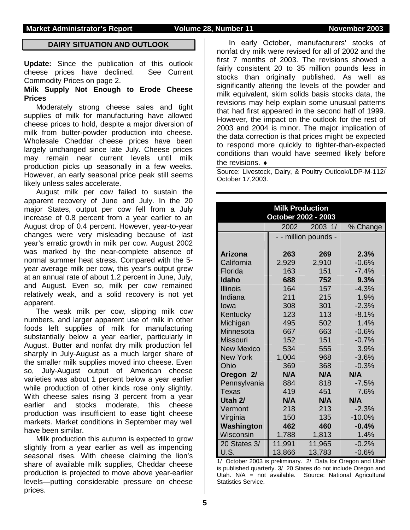#### **Market Administrator's Report Colume 28, Number 11 November 2003**

### **DAIRY SITUATION AND OUTLOOK**

**Update:** Since the publication of this outlook cheese prices have declined. See Current Commodity Prices on page 2.

#### **Milk Supply Not Enough to Erode Cheese Prices**

Moderately strong cheese sales and tight supplies of milk for manufacturing have allowed cheese prices to hold, despite a major diversion of milk from butter-powder production into cheese. Wholesale Cheddar cheese prices have been largely unchanged since late July. Cheese prices may remain near current levels until milk production picks up seasonally in a few weeks. However, an early seasonal price peak still seems likely unless sales accelerate.

August milk per cow failed to sustain the apparent recovery of June and July. In the 20 major States, output per cow fell from a July increase of 0.8 percent from a year earlier to an August drop of 0.4 percent. However, year-to-year changes were very misleading because of last year's erratic growth in milk per cow. August 2002 was marked by the near-complete absence of normal summer heat stress. Compared with the 5 year average milk per cow, this year's output grew at an annual rate of about 1.2 percent in June, July, and August. Even so, milk per cow remained relatively weak, and a solid recovery is not yet apparent.

The weak milk per cow, slipping milk cow numbers, and larger apparent use of milk in other foods left supplies of milk for manufacturing substantially below a year earlier, particularly in August. Butter and nonfat dry milk production fell sharply in July-August as a much larger share of the smaller milk supplies moved into cheese. Even so, July-August output of American cheese varieties was about 1 percent below a year earlier while production of other kinds rose only slightly. With cheese sales rising 3 percent from a year earlier and stocks moderate, this cheese production was insufficient to ease tight cheese markets. Market conditions in September may well have been similar.

Milk production this autumn is expected to grow slightly from a year earlier as well as impending seasonal rises. With cheese claiming the lion's share of available milk supplies, Cheddar cheese production is projected to move above year-earlier levels—putting considerable pressure on cheese prices.

In early October, manufacturers' stocks of nonfat dry milk were revised for all of 2002 and the first 7 months of 2003. The revisions showed a fairly consistent 20 to 35 million pounds less in stocks than originally published. As well as significantly altering the levels of the powder and milk equivalent, skim solids basis stocks data, the revisions may help explain some unusual patterns that had first appeared in the second half of 1999. However, the impact on the outlook for the rest of 2003 and 2004 is minor. The major implication of the data correction is that prices might be expected to respond more quickly to tighter-than-expected conditions than would have seemed likely before the revisions. ♦

Source: Livestock, Dairy, & Poultry Outlook/LDP-M-112/ October 17,2003.

|                   | <b>Milk Production</b><br>October 2002 - 2003 |         |          |
|-------------------|-----------------------------------------------|---------|----------|
|                   | 2002                                          | 2003 1/ | % Change |
|                   | - - million pounds -                          |         |          |
|                   |                                               |         |          |
| <b>Arizona</b>    | 263                                           | 269     | 2.3%     |
| California        | 2,929                                         | 2,910   | $-0.6%$  |
| Florida           | 163                                           | 151     | $-7.4%$  |
| <b>Idaho</b>      | 688                                           | 752     | 9.3%     |
| Illinois          | 164                                           | 157     | $-4.3%$  |
| Indiana           | 211                                           | 215     | 1.9%     |
| Iowa              | 308                                           | 301     | $-2.3%$  |
| Kentucky          | 123                                           | 113     | $-8.1%$  |
| Michigan          | 495                                           | 502     | 1.4%     |
| Minnesota         | 667                                           | 663     | $-0.6%$  |
| Missouri          | 152                                           | 151     | $-0.7%$  |
| <b>New Mexico</b> | 534                                           | 555     | 3.9%     |
| <b>New York</b>   | 1,004                                         | 968     | $-3.6\%$ |
| Ohio              | 369                                           | 368     | $-0.3%$  |
| Oregon 2/         | N/A                                           | N/A     | N/A      |
| Pennsylvania      | 884                                           | 818     | $-7.5%$  |
| Texas             | 419                                           | 451     | 7.6%     |
| Utah 2/           | N/A                                           | N/A     | N/A      |
| Vermont           | 218                                           | 213     | $-2.3%$  |
| Virginia          | 150                                           | 135     | $-10.0%$ |
| Washington        | 462                                           | 460     | $-0.4%$  |
| Wisconsin         | 1,788                                         | 1,813   | 1.4%     |
| 20 States 3/      | 11,991                                        | 11,965  | $-0.2%$  |
| U.S.              | 13,866                                        | 13,783  | $-0.6\%$ |

1/ October 2003 is preliminary. 2/ Data for Oregon and Utah is published quarterly. 3/ 20 States do not include Oregon and Utah. N/A = not available. Source: National Agricultural Statistics Service.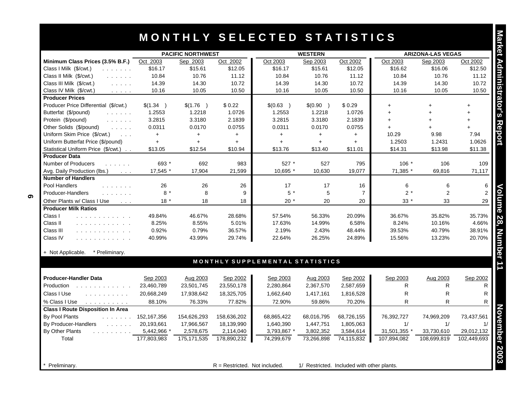# **M O N T H L Y S E L E C T E D S T A T I S T I C S**

|                                                                                  | <b>PACIFIC NORTHWEST</b> |               |             | <b>WESTERN</b>                  |            |                | <b>ARIZONA-LAS VEGAS</b> |             |             |
|----------------------------------------------------------------------------------|--------------------------|---------------|-------------|---------------------------------|------------|----------------|--------------------------|-------------|-------------|
| Minimum Class Prices (3.5% B.F.)                                                 | Oct 2003                 | Sep 2003      | Oct 2002    | Oct 2003                        | Sep 2003   | Oct 2002       | Oct 2003                 | Sep 2003    | Oct 2002    |
| Class I Milk (\$/cwt.)<br><b>The Community</b>                                   | \$16.17                  | \$15.61       | \$12.05     | \$16.17                         | \$15.61    | \$12.05        | \$16.62                  | \$16.06     | \$12.50     |
| Class II Milk (\$/cwt.)<br>and a share                                           | 10.84                    | 10.76         | 11.12       | 10.84                           | 10.76      | 11.12          | 10.84                    | 10.76       | 11.12       |
| Class III Milk (\$/cwt.)<br><b>Service</b>                                       | 14.39                    | 14.30         | 10.72       | 14.39                           | 14.30      | 10.72          | 14.39                    | 14.30       | 10.72       |
| Class IV Milk (\$/cwt.)<br>$\mathcal{L}$ , and $\mathcal{L}$ , and $\mathcal{L}$ | 10.16                    | 10.05         | 10.50       | 10.16                           | 10.05      | 10.50          | 10.16                    | 10.05       | 10.50       |
| <b>Producer Prices</b>                                                           |                          |               |             |                                 |            |                |                          |             |             |
| Producer Price Differential (\$/cwt.)                                            | \$(1.34)                 | \$(1.76)      | \$0.22      | \$(0.63)                        | \$(0.90)   | \$0.29         | $+$                      | $+$         | $\ddot{}$   |
| Butterfat (\$/pound)<br>$\mathbb{Z}^2$ . The set of $\mathbb{Z}^2$               | 1.2553                   | 1.2218        | 1.0726      | 1.2553                          | 1.2218     | 1.0726         | $+$                      | $+$         | $+$         |
| Protein (\$/pound)<br>and a straight                                             | 3.2815                   | 3.3180        | 2.1839      | 3.2815                          | 3.3180     | 2.1839         | $+$                      |             | $+$         |
| Other Solids (\$/pound)<br>and a series                                          | 0.0311                   | 0.0170        | 0.0755      | 0.0311                          | 0.0170     | 0.0755         | $+$                      |             |             |
| Uniform Skim Price (\$/cwt.)<br>$\sim$ $\sim$ $\sim$                             | $+$                      | $+$           | $+$         | $+$                             | $+$        | $+$            | 10.29                    | 9.98        | 7.94        |
| Uniform Butterfat Price (\$/pound)                                               | $+$                      | $+$           | $+$         | $+$                             | $+$        | $+$            | 1.2503                   | 1.2431      | 1.0626      |
| Statistical Uniform Price (\$/cwt.)                                              | \$13.05                  | \$12.54       | \$10.94     | \$13.76                         | \$13.40    | \$11.01        | \$14.31                  | \$13.98     | \$11.38     |
| <b>Producer Data</b>                                                             |                          |               |             |                                 |            |                |                          |             |             |
| Number of Producers<br>and a state of                                            | 693 *                    | 692           | 983         | 527 *                           | 527        | 795            | $106*$                   | 106         | 109         |
| Avg. Daily Production (lbs.)<br><b>Contractor</b>                                | 17.545 *                 | 17,904        | 21,599      | 10,695 *                        | 10,630     | 19,077         | 71,385 *                 | 69,816      | 71,117      |
| <b>Number of Handlers</b>                                                        |                          |               |             |                                 |            |                |                          |             |             |
| Pool Handlers<br>and a straight and                                              | 26                       | 26            | 26          | 17                              | 17         | 16             | 6                        | 6           |             |
| Producer-Handlers<br>and the company                                             | $8 *$                    | 8             | 9           | $5*$                            | 5          | $\overline{7}$ | $2*$                     | 2           |             |
| Other Plants w/ Class I Use<br>$\sim 100$                                        | $18*$                    | 18            | 18          | $20*$                           | 20         | 20             | $33*$                    | 33          | 29          |
| <b>Producer Milk Ratios</b>                                                      |                          |               |             |                                 |            |                |                          |             |             |
| Class I<br>.                                                                     | 49.84%                   | 46.67%        | 28.68%      | 57.54%                          | 56.33%     | 20.09%         | 36.67%                   | 35.82%      | 35.73%      |
| Class II<br>.                                                                    | 8.25%                    | 8.55%         | 5.01%       | 17.63%                          | 14.99%     | 6.58%          | 8.24%                    | 10.16%      | 4.66%       |
| Class III<br>.                                                                   | 0.92%                    | 0.79%         | 36.57%      | 2.19%                           | 2.43%      | 48.44%         | 39.53%                   | 40.79%      | 38.91%      |
| Class IV<br>.                                                                    | 40.99%                   | 43.99%        | 29.74%      | 22.64%                          | 26.25%     | 24.89%         | 15.56%                   | 13.23%      | 20.70%      |
|                                                                                  |                          |               |             |                                 |            |                |                          |             |             |
| + Not Applicable. * Preliminary.                                                 |                          |               |             |                                 |            |                |                          |             |             |
|                                                                                  |                          |               |             | MONTHLY SUPPLEMENTAL STATISTICS |            |                |                          |             |             |
| <b>Producer-Handler Data</b>                                                     | Sep 2003                 | Aug 2003      | Sep 2002    | Sep 2003                        | Aug 2003   | Sep 2002       | Sep 2003                 | Aug 2003    | Sep 2002    |
| Production                                                                       | 23,460,789               | 23,501,745    | 23,550,178  | 2,280,864                       | 2,367,570  | 2,587,659      | R                        | R           |             |
| Class I Use<br>and a straight and a                                              | 20,668,249               | 17,938,642    | 18,325,705  | 1,662,640                       | 1,417,161  | 1,816,528      | $\mathsf{R}$             | R           |             |
| % Class I Use                                                                    | 88.10%                   | 76.33%        | 77.82%      | 72.90%                          | 59.86%     | 70.20%         | R                        | R.          |             |
| <b>Class I Route Disposition In Area</b>                                         |                          |               |             |                                 |            |                |                          |             |             |
| By Pool Plants<br>and a straight and                                             | 152,167,356              | 154,626,293   | 158,636,202 | 68,865,422                      | 68,016,795 | 68,726,155     | 76,392,727               | 74,969,209  | 73,437,561  |
| By Producer-Handlers<br><b>Contractor</b>                                        | 20,193,661               | 17,966,567    | 18,139,990  | 1,640,390                       | 1,447,751  | 1,805,063      | 1/                       | 1/          |             |
| By Other Plants<br>and a straight and the                                        | 5,442,966 *              | 2,578,675     | 2,114,040   | 3,793,867 *                     | 3,802,352  | 3,584,614      | 31,501,355 *             | 33,730,610  | 29,012,132  |
| Total                                                                            | 177,803,983              | 175, 171, 535 | 178,890,232 | 74,299,679                      | 73,266,898 | 74,115,832     | 107,894,082              | 108,699,819 | 102,449,693 |

**Preliminary.** The restricted of  $R =$  Restricted. Not included. 1/ Restricted. Included with other plants.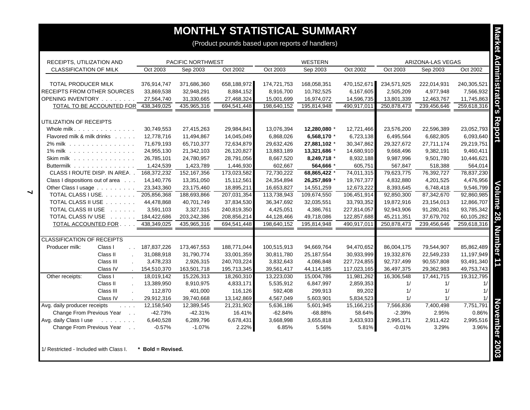| RECEIPTS, UTILIZATION AND                    |                                                                                                       | PACIFIC NORTHWEST |               |             |             | <b>WESTERN</b> |             |             | ARIZONA-LAS VEGAS |             |
|----------------------------------------------|-------------------------------------------------------------------------------------------------------|-------------------|---------------|-------------|-------------|----------------|-------------|-------------|-------------------|-------------|
| <b>CLASSIFICATION OF MILK</b>                | Oct 2003                                                                                              |                   | Sep 2003      | Oct 2002    | Oct 2003    | Sep 2003       | Oct 2002    | Oct 2003    | Sep 2003          | Oct 2002    |
|                                              |                                                                                                       |                   |               |             |             |                |             |             |                   |             |
| <b>TOTAL PRODUCER MILK</b>                   | 376,914,747                                                                                           |                   | 371,686,360   | 658,188,972 | 174,721,753 | 168,058,351    | 470,152,671 | 234,571,925 | 222,014,931       | 240,305,521 |
| RECEIPTS FROM OTHER SOURCES                  | 33,869,538                                                                                            |                   | 32,948,291    | 8,884,152   | 8,916,700   | 10,782,525     | 6,167,605   | 2,505,209   | 4,977,948         | 7,566,932   |
| OPENING INVENTORY                            | 27,564,740                                                                                            |                   | 31,330,665    | 27,468,324  | 15,001,699  | 16,974,072     | 14,596,735  | 13,801,339  | 12,463,767        | 11,745,863  |
| TOTAL TO BE ACCOUNTED FOR                    | 438,349,025                                                                                           |                   | 435,965,316   | 694,541,448 | 198,640,152 | 195,814,948    | 490,917,011 | 250,878,473 | 239,456,646       | 259,618,316 |
| UTILIZATION OF RECEIPTS                      |                                                                                                       |                   |               |             |             |                |             |             |                   |             |
| Whole milk.                                  | 30,749,553                                                                                            |                   | 27,415,263    | 29,984,841  | 13,076,394  | 12,280,080 *   | 12,721,466  | 23,576,200  | 22,596,389        | 23,052,793  |
| Flavored milk & milk drinks                  | 12,778,716                                                                                            |                   | 11,494,867    | 14,045,049  | 6,868,026   | 6,568,170 *    | 6,723,138   | 6,495,564   | 6,682,805         | 6,093,640   |
| 2% milk                                      | 71,679,193                                                                                            |                   | 65,710,377    | 72,634,879  | 29,632,426  | 27,881,102 *   | 30,347,862  | 29,327,672  | 27,711,174        | 29,219,751  |
| 1% milk                                      | 24,955,130                                                                                            |                   | 21,342,103    | 26,120,827  | 13,883,189  | 13,321,686 *   | 14,680,910  | 9,668,496   | 9,382,191         | 9,460,411   |
| Skim milk $\ldots$                           | 26,785,101                                                                                            |                   | 24,780,957    | 28,791,056  | 8,667,520   | 8,249,718 *    | 8,932,188   | 9,987,996   | 9,501,780         | 10,446,621  |
| Buttermilk                                   | 1,424,539                                                                                             |                   | 1,423,789     | 1,446,930   | 602,667     | 564,666 *      | 605,751     | 567,847     | 518,388           | 564,014     |
| CLASS I ROUTE DISP. IN AREA. . 168,372,232   |                                                                                                       |                   | 152, 167, 356 | 173,023,582 | 72,730,222  | 68,865,422 *   | 74,011,315  | 79,623,775  | 76,392,727        | 78,837,230  |
| Class I dispositions out of area             | 14,140,776                                                                                            |                   | 13,351,050    | 15,112,561  | 24,354,894  | 26,257,869 *   | 19,767,377  | 4,832,880   | 4,201,525         | 4,476,956   |
| Other Class I usage                          | 23,343,360                                                                                            |                   | 23,175,460    | 18,895,211  | 16,653,827  | 14,551,259     | 12,673,222  | 8,393,645   | 6,748,418         | 9,546,799   |
| TOTAL CLASS I USE. 205,856,368               |                                                                                                       |                   | 188,693,866   | 207,031,354 | 113,738,943 | 109,674,550    | 106,451,914 | 92,850,300  | 87,342,670        | 92,860,985  |
| TOTAL CLASS II USE                           | 44,478,868                                                                                            |                   | 40,701,749    | 37,834,530  | 36,347,692  | 32,035,551     | 33,793,352  | 19,872,916  | 23,154,013        | 12,866,707  |
| TOTAL CLASS III USE                          | 3,591,103                                                                                             |                   | 3,327,315     | 240,819,350 | 4,425,051   | 4,386,761      | 227,814,057 | 92,943,906  | 91,280,261        | 93,785,342  |
| TOTAL CLASS IV USE                           | 184,422,686                                                                                           |                   | 203,242,386   | 208,856,214 | 44,128,466  | 49,718,086     | 122,857,688 | 45,211,351  | 37,679,702        | 60,105,282  |
| TOTAL ACCOUNTED FOR                          | 438,349,025                                                                                           |                   | 435,965,316   | 694,541,448 | 198,640,152 | 195,814,948    | 490,917,011 | 250,878,473 | 239,456,646       | 259,618,316 |
|                                              |                                                                                                       |                   |               |             |             |                |             |             |                   |             |
| <b>CLASSIFICATION OF RECEIPTS</b>            |                                                                                                       |                   |               |             |             |                |             |             |                   |             |
| Producer milk:<br>Class I                    | 187,837,226<br>$\mathbf{L}$                                                                           |                   | 173,467,553   | 188,771,044 | 100,515,913 | 94,669,764     | 94,470,652  | 86,004,175  | 79,544,907        | 85,862,489  |
| Class II                                     | 31,088,918                                                                                            |                   | 31,790,774    | 33,001,359  | 30,811,780  | 25,187,554     | 30,933,999  | 19,332,876  | 22,549,233        | 11,197,949  |
| Class III                                    | 3,478,233<br>$\sim$                                                                                   |                   | 2,926,315     | 240,703,224 | 3,832,643   | 4,086,848      | 227,724,855 | 92,737,499  | 90,557,808        | 93,491,340  |
| Class IV                                     | 154,510,370                                                                                           |                   | 163,501,718   | 195,713,345 | 39,561,417  | 44,114,185     | 117,023,165 | 36,497,375  | 29,362,983        | 49,753,743  |
| Other receipts:<br>Class I                   | 18,019,142<br>$\mathbf{r}$                                                                            |                   | 15,226,313    | 18,260,310  | 13,223,030  | 15,004,786     | 11,981,262  | 16,306,548  | 17,441,715        | 19,312,795  |
| Class II                                     | 13,389,950                                                                                            |                   | 8,910,975     | 4,833,171   | 5,535,912   | 6,847,997      | 2,859,353   | 1/          | 1/                | 1/          |
| Class III                                    | 112,870<br>$\ddot{\phantom{a}}$                                                                       |                   | 401,000       | 116,126     | 592,408     | 299,913        | 89,202      | 1/          | 1/                | 1/          |
| Class IV                                     | 29,912,316                                                                                            |                   | 39,740,668    | 13,142,869  | 4,567,049   | 5,603,901      | 5,834,523   | 1/          | 1/                | 1/          |
| Avg. daily producer receipts                 | 12,158,540<br>$\mathcal{L}^{\mathcal{A}}$ , $\mathcal{L}^{\mathcal{A}}$ , $\mathcal{L}^{\mathcal{A}}$ |                   | 12,389,545    | 21,231,902  | 5,636,186   | 5,601,945      | 15,166,215  | 7,566,836   | 7,400,498         | 7,751,791   |
| Change From Previous Year                    | $-42.73%$<br>$\sim$ $\sim$                                                                            |                   | $-42.31%$     | 16.41%      | $-62.84%$   | $-68.88%$      | 58.64%      | $-2.39%$    | 2.95%             | 0.86%       |
| Avg. daily Class I use<br>and a straight and | 6,640,528                                                                                             |                   | 6,289,796     | 6,678,431   | 3,668,998   | 3,655,818      | 3,433,933   | 2,995,171   | 2,911,422         | 2,995,516   |
| Change From Previous Year                    | $-0.57%$<br>$\ddot{\phantom{1}}$                                                                      |                   | $-1.07%$      | 2.22%       | 6.85%       | 5.56%          | 5.81%       | $-0.01%$    | 3.29%             | 3.96%       |

 $\blacktriangleleft$